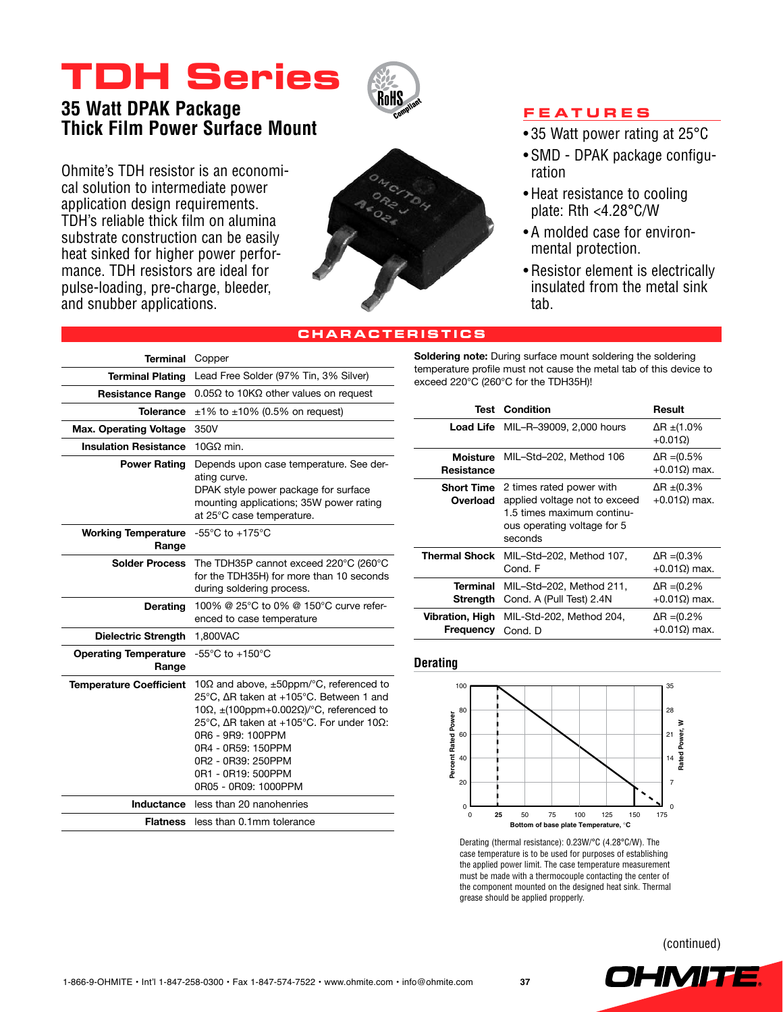# **TDH Series**



# **35 Watt DPAK Package Thick Film Power Surface Mount**

Ohmite's TDH resistor is an economical solution to intermediate power application design requirements. TDH's reliable thick film on alumina substrate construction can be easily heat sinked for higher power performance. TDH resistors are ideal for pulse-loading, pre-charge, bleeder, and snubber applications.



### **Features**

- 35 Watt power rating at 25°C
- SMD DPAK package configuration
- Heat resistance to cooling plate: Rth <4.28°C/W
- • A molded case for environmental protection.
- • Resistor element is electrically insulated from the metal sink tab.

# **characteristics**

| <b>Terminal</b>                       | Copper                                                                                                                                                                                                                                                                                                                        |  |
|---------------------------------------|-------------------------------------------------------------------------------------------------------------------------------------------------------------------------------------------------------------------------------------------------------------------------------------------------------------------------------|--|
| <b>Terminal Plating</b>               | Lead Free Solder (97% Tin, 3% Silver)                                                                                                                                                                                                                                                                                         |  |
| <b>Resistance Range</b>               | $0.05\Omega$ to 10K $\Omega$ other values on request                                                                                                                                                                                                                                                                          |  |
| Tolerance                             | $\pm 1\%$ to $\pm 10\%$ (0.5% on request)                                                                                                                                                                                                                                                                                     |  |
| <b>Max. Operating Voltage</b>         | 350V                                                                                                                                                                                                                                                                                                                          |  |
| <b>Insulation Resistance</b>          | $10G\Omega$ min.                                                                                                                                                                                                                                                                                                              |  |
| <b>Power Rating</b>                   | Depends upon case temperature. See der-<br>ating curve.<br>DPAK style power package for surface<br>mounting applications; 35W power rating<br>at 25°C case temperature.                                                                                                                                                       |  |
| <b>Working Temperature</b><br>Range   | $-55^{\circ}$ C to $+175^{\circ}$ C                                                                                                                                                                                                                                                                                           |  |
| <b>Solder Process</b>                 | The TDH35P cannot exceed 220°C (260°C<br>for the TDH35H) for more than 10 seconds<br>during soldering process.                                                                                                                                                                                                                |  |
| <b>Derating</b>                       | 100% @ 25°C to 0% @ 150°C curve refer-<br>enced to case temperature                                                                                                                                                                                                                                                           |  |
| <b>Dielectric Strength</b>            | 1,800VAC                                                                                                                                                                                                                                                                                                                      |  |
| <b>Operating Temperature</b><br>Range | $-55^{\circ}$ C to $+150^{\circ}$ C                                                                                                                                                                                                                                                                                           |  |
| <b>Temperature Coefficient</b>        | 10 $\Omega$ and above, $\pm 50$ ppm/°C, referenced to<br>25°C, ∆R taken at +105°C. Between 1 and<br>10 $\Omega$ , $\pm$ (100ppm+0.002 $\Omega$ )/°C, referenced to<br>25°C, ΔR taken at +105°C. For under 10Ω:<br>0R6 - 9R9: 100PPM<br>0R4 - 0R59: 150PPM<br>0R2 - 0R39: 250PPM<br>0R1 - 0R19: 500PPM<br>0R05 - 0R09: 1000PPM |  |
| Inductance                            | less than 20 nanohenries                                                                                                                                                                                                                                                                                                      |  |
| <b>Flatness</b>                       | less than 0.1mm tolerance                                                                                                                                                                                                                                                                                                     |  |

**Soldering note:** During surface mount soldering the soldering temperature profile must not cause the metal tab of this device to exceed 220°C (260°C for the TDH35H)!

|                              | <b>Test Condition</b>                                                                                                                               | Result                                     |
|------------------------------|-----------------------------------------------------------------------------------------------------------------------------------------------------|--------------------------------------------|
|                              | <b>Load Life</b> MIL-R-39009, 2,000 hours                                                                                                           | ΔR ±(1.0%<br>$+0.01\Omega$                 |
| <b>Resistance</b>            | Moisture MIL-Std-202, Method 106                                                                                                                    | $\Delta$ R = (0.5%<br>$+0.01\Omega$ ) max. |
| Overload                     | <b>Short Time</b> 2 times rated power with<br>applied voltage not to exceed<br>1.5 times maximum continu-<br>ous operating voltage for 5<br>seconds | $\Delta$ R ±(0.3%<br>$+0.01\Omega$ ) max.  |
| <b>Thermal Shock</b>         | MIL-Std-202, Method 107,<br>Cond. F                                                                                                                 | $\Delta$ R = (0.3%<br>$+0.01\Omega$ ) max. |
| Terminal<br>Strength         | MIL-Std-202, Method 211,<br>Cond. A (Pull Test) 2.4N                                                                                                | $\Delta$ R = (0.2%<br>$+0.01\Omega$ ) max. |
| Vibration, High<br>Frequency | MIL-Std-202, Method 204,<br>Cond. D                                                                                                                 | ∆R =(0.2%<br>$+0.01\Omega$ ) max.          |

#### **Derating**



Derating (thermal resistance): 0.23W/°C (4.28°C/W). The case temperature is to be used for purposes of establishing the applied power limit. The case temperature measurement must be made with a thermocouple contacting the center of the component mounted on the designed heat sink. Thermal grease should be applied propperly.

(continued)

**OHMITE**